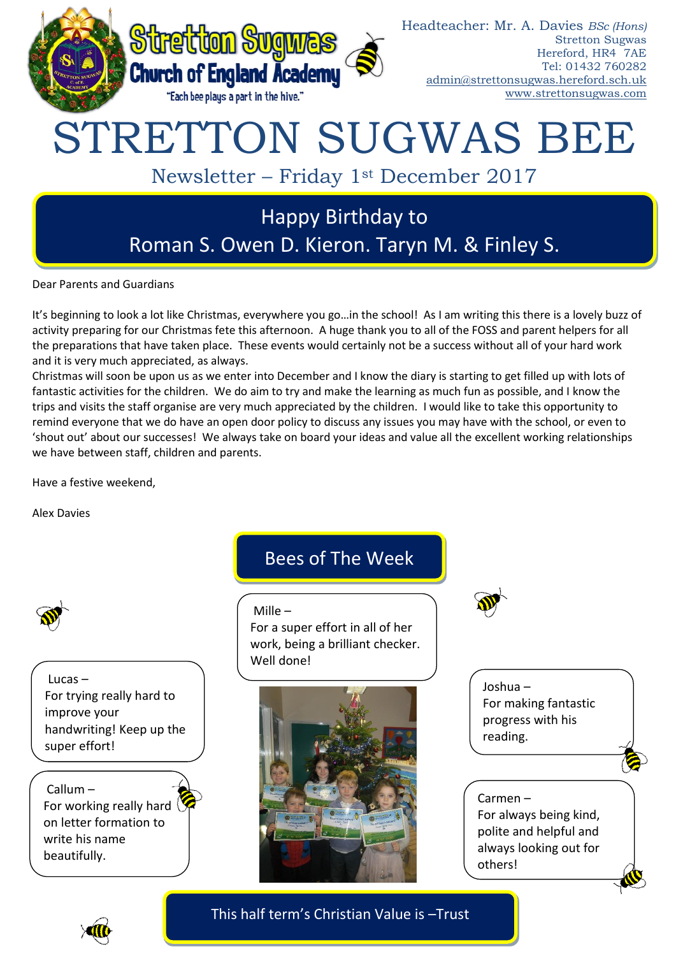

Roman S. Owen D. Kieron. Taryn M. & Finley S.

Dear Parents and Guardians

It's beginning to look a lot like Christmas, everywhere you go…in the school! As I am writing this there is a lovely buzz of activity preparing for our Christmas fete this afternoon. A huge thank you to all of the FOSS and parent helpers for all the preparations that have taken place. These events would certainly not be a success without all of your hard work and it is very much appreciated, as always.

Christmas will soon be upon us as we enter into December and I know the diary is starting to get filled up with lots of fantastic activities for the children. We do aim to try and make the learning as much fun as possible, and I know the trips and visits the staff organise are very much appreciated by the children. I would like to take this opportunity to remind everyone that we do have an open door policy to discuss any issues you may have with the school, or even to 'shout out' about our successes! We always take on board your ideas and value all the excellent working relationships we have between staff, children and parents.

Have a festive weekend,

Alex Davies



Lucas – For trying really hard to improve your handwriting! Keep up the super effort!

Callum – For working really hard on letter formation to write his name beautifully.

# Bees of The Week

Mille –

For a super effort in all of her work, being a brilliant checker. Well done!





Joshua – For making fantastic progress with his reading.

## Carmen – For always being kind, polite and helpful and always looking out for others!



This half term's Christian Value is –Trust